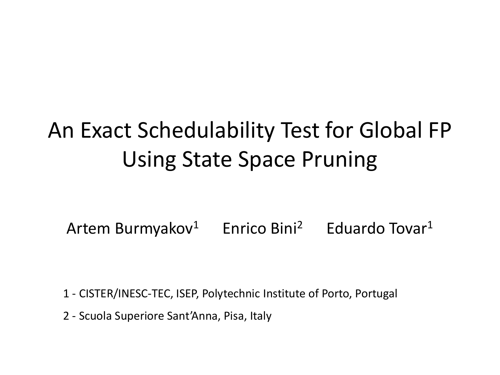# An Exact Schedulability Test for Global FP Using State Space Pruning

Artem Burmyakov<sup>1</sup> Enrico Bini<sup>2</sup> Eduardo Tovar<sup>1</sup>

1 - CISTER/INESC-TEC, ISEP, Polytechnic Institute of Porto, Portugal

2 - Scuola Superiore Sant'Anna, Pisa, Italy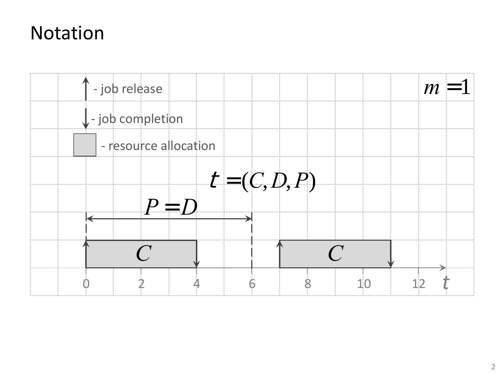#### Notation

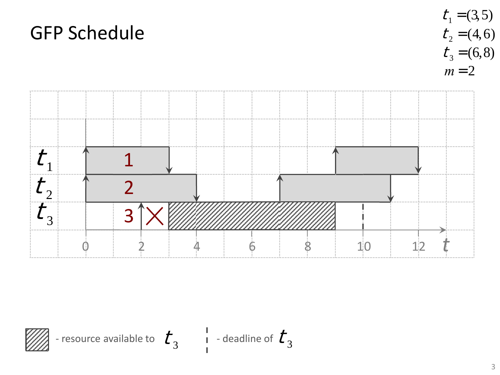

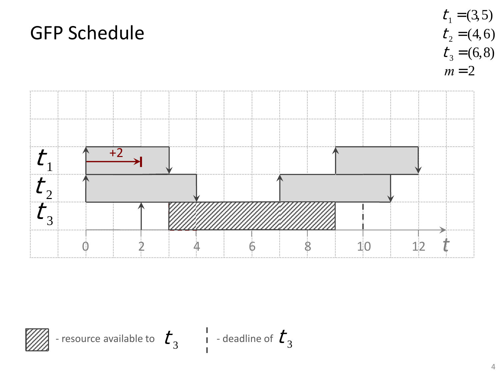

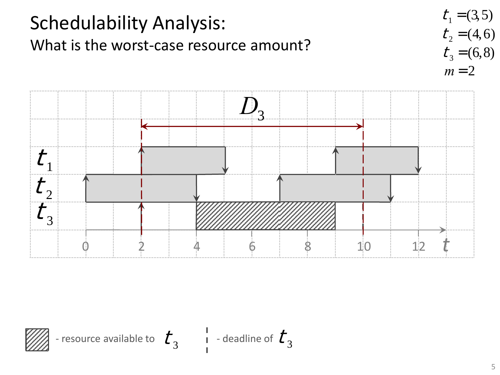

 $\frac{1}{2}$  4 6 8 10 12 *t* 



 $t_{\scriptscriptstyle 2}$ 

 $t_{3}$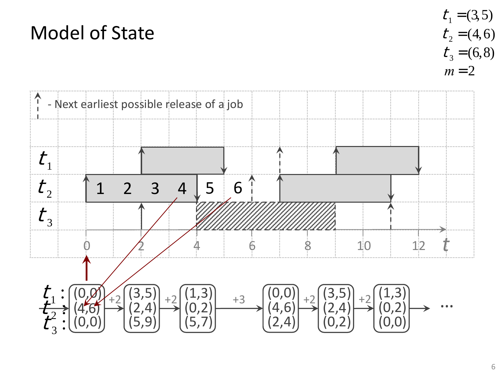#### Model of State



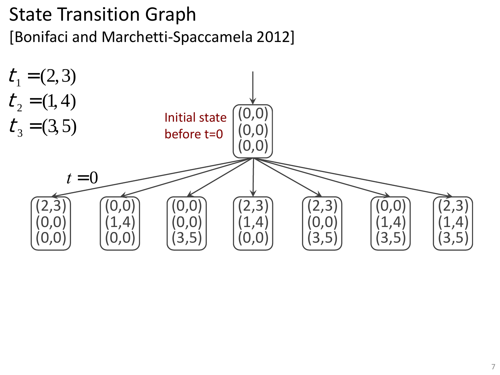#### State Transition Graph [Bonifaci and Marchetti-Spaccamela 2012]

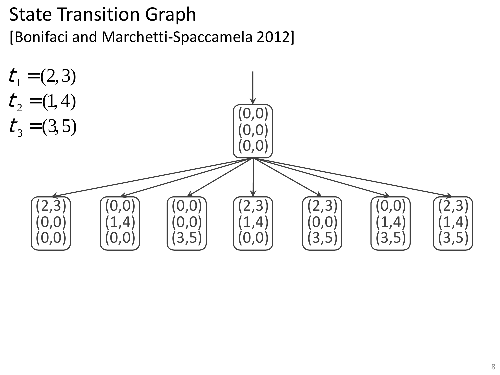#### State Transition Graph [Bonifaci and Marchetti-Spaccamela 2012]

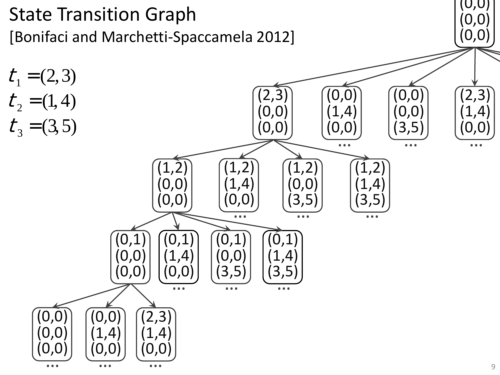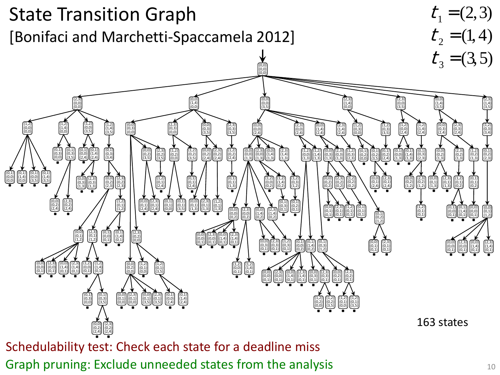

Graph pruning: Exclude unneeded states from the analysis  $10^{10}$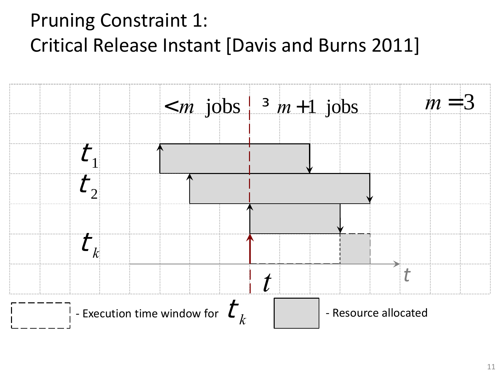### Pruning Constraint 1: Critical Release Instant [Davis and Burns 2011]

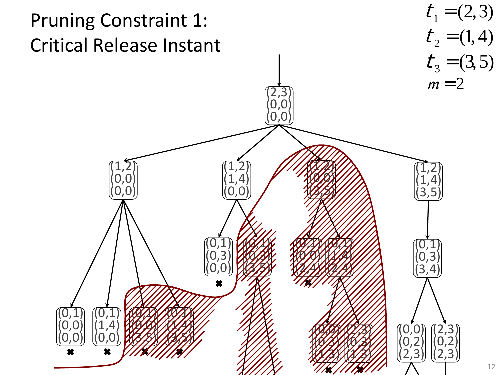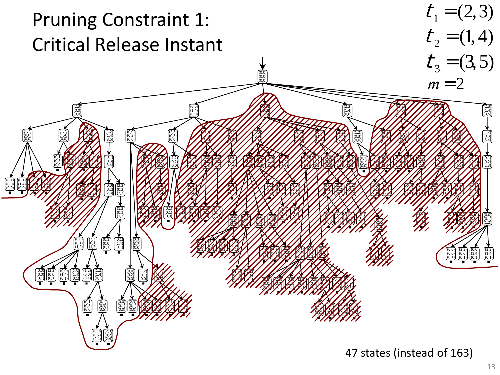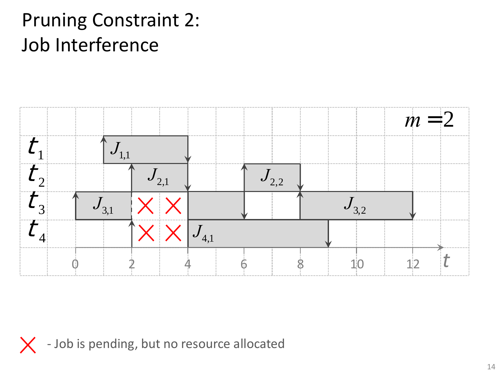

X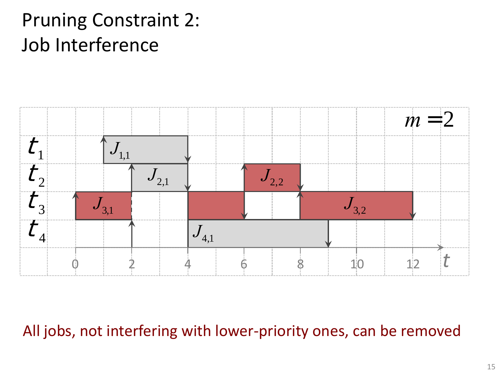

All jobs, not interfering with lower-priority ones, can be removed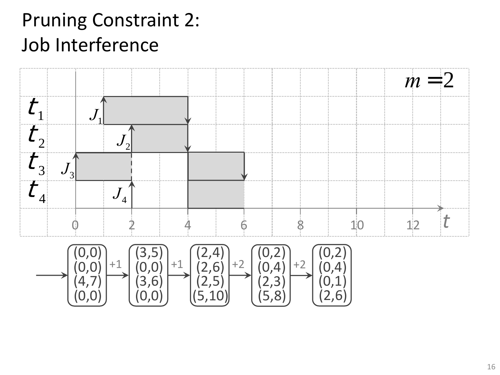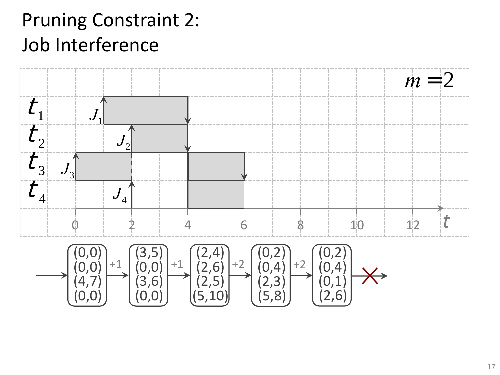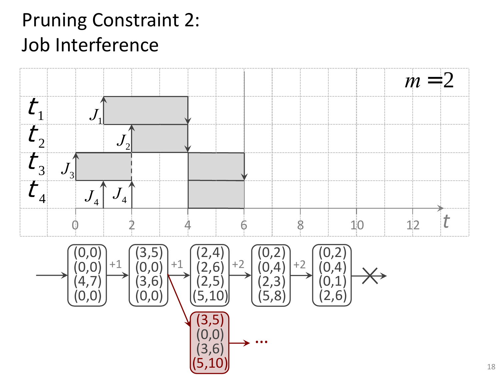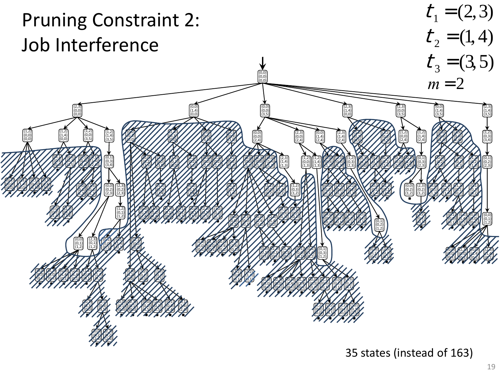

35 states (instead of 163)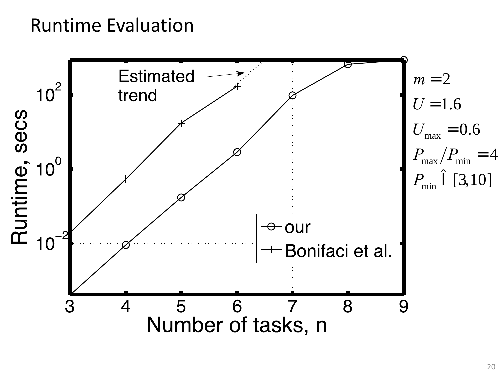#### Runtime Evaluation

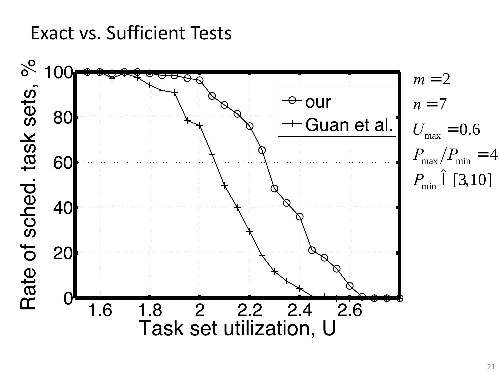#### Exact vs. Sufficient Tests

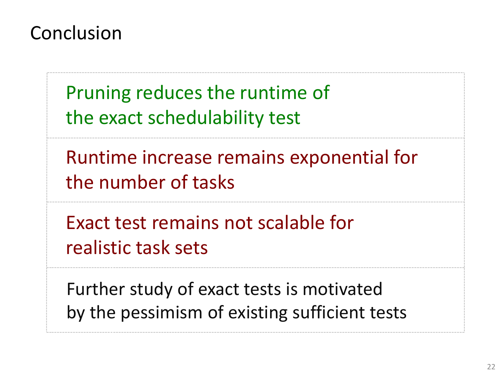#### Conclusion

Pruning reduces the runtime of the exact schedulability test

Runtime increase remains exponential for the number of tasks

Exact test remains not scalable for realistic task sets

Further study of exact tests is motivated by the pessimism of existing sufficient tests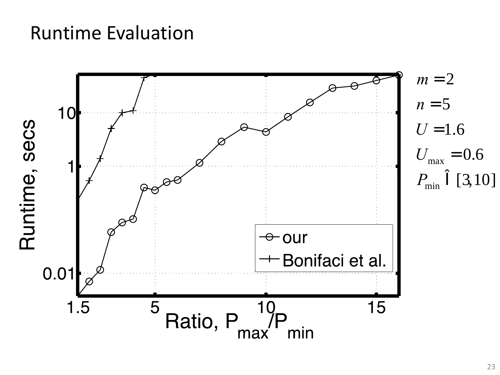#### Runtime Evaluation

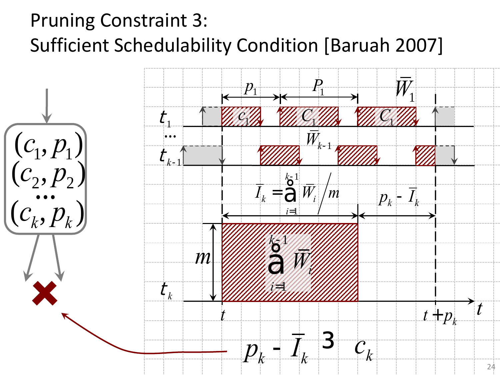## Pruning Constraint 3: Sufficient Schedulability Condition [Baruah 2007]